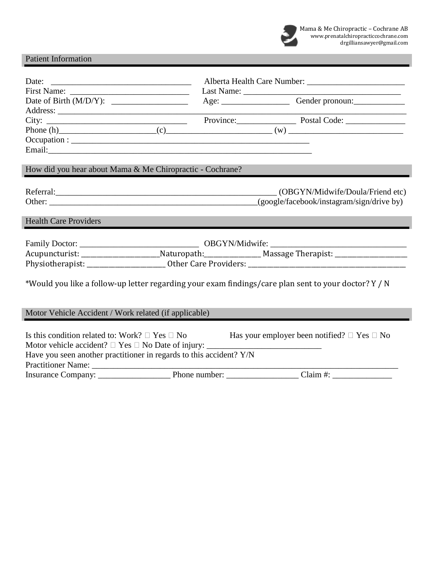

# Patient Information

|                                                                                                                | Age: Gender pronoun:             |  |  |
|----------------------------------------------------------------------------------------------------------------|----------------------------------|--|--|
|                                                                                                                |                                  |  |  |
|                                                                                                                |                                  |  |  |
|                                                                                                                |                                  |  |  |
|                                                                                                                |                                  |  |  |
|                                                                                                                |                                  |  |  |
|                                                                                                                |                                  |  |  |
| How did you hear about Mama & Me Chiropractic - Cochrane?                                                      |                                  |  |  |
|                                                                                                                |                                  |  |  |
|                                                                                                                | (OBGYN/Midwife/Doula/Friend etc) |  |  |
| Other: (google/facebook/instagram/sign/drive by)                                                               |                                  |  |  |
|                                                                                                                |                                  |  |  |
| <b>Health Care Providers</b>                                                                                   |                                  |  |  |
|                                                                                                                |                                  |  |  |
|                                                                                                                |                                  |  |  |
|                                                                                                                |                                  |  |  |
|                                                                                                                |                                  |  |  |
| Acupuncturist: __________________________Naturopath:___________________Massage Therapist: ____________________ |                                  |  |  |
|                                                                                                                |                                  |  |  |
|                                                                                                                |                                  |  |  |
| *Would you like a follow-up letter regarding your exam findings/care plan sent to your doctor? Y / N           |                                  |  |  |
|                                                                                                                |                                  |  |  |
|                                                                                                                |                                  |  |  |
| Motor Vehicle Accident / Work related (if applicable)                                                          |                                  |  |  |
|                                                                                                                |                                  |  |  |
| Is this condition related to: Work? $\Box$ Yes $\Box$ No Has your employer been notified? $\Box$ Yes $\Box$ No |                                  |  |  |
|                                                                                                                |                                  |  |  |
| Have you seen another practitioner in regards to this accident? Y/N                                            |                                  |  |  |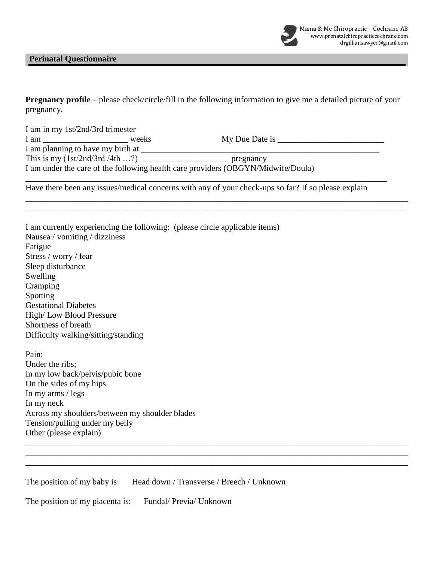### **Perinatal Questionnaire**

| <b>Pregnancy profile</b> – please check/circle/fill in the following information to give me a detailed picture of your |  |  |  |  |
|------------------------------------------------------------------------------------------------------------------------|--|--|--|--|
| pregnancy.                                                                                                             |  |  |  |  |

| weeks                                        | My Due Date is |                                                                                                                     |
|----------------------------------------------|----------------|---------------------------------------------------------------------------------------------------------------------|
| I am planning to have my birth at __________ |                |                                                                                                                     |
|                                              | pregnancy      |                                                                                                                     |
|                                              |                |                                                                                                                     |
|                                              | I am           | This is my $(1st/2nd/3rd/4th )$<br>I am under the care of the following health care providers (OBGYN/Midwife/Doula) |

\_\_\_\_\_\_\_\_\_\_\_\_\_\_\_\_\_\_\_\_\_\_\_\_\_\_\_\_\_\_\_\_\_\_\_\_\_\_\_\_\_\_\_\_\_\_\_\_\_\_\_\_\_\_\_\_\_\_\_\_\_\_\_\_\_\_\_\_\_\_\_\_\_\_\_\_\_\_\_\_\_\_\_\_\_\_\_\_\_\_ \_\_\_\_\_\_\_\_\_\_\_\_\_\_\_\_\_\_\_\_\_\_\_\_\_\_\_\_\_\_\_\_\_\_\_\_\_\_\_\_\_\_\_\_\_\_\_\_\_\_\_\_\_\_\_\_\_\_\_\_\_\_\_\_\_\_\_\_\_\_\_\_\_\_\_\_\_\_\_\_\_\_\_\_\_\_\_\_\_\_

\_\_\_\_\_\_\_\_\_\_\_\_\_\_\_\_\_\_\_\_\_\_\_\_\_\_\_\_\_\_\_\_\_\_\_\_\_\_\_\_\_\_\_\_\_\_\_\_\_\_\_\_\_\_\_\_\_\_\_\_\_\_\_\_\_\_\_\_\_\_\_\_\_\_\_\_\_\_\_\_\_\_\_\_\_\_\_\_\_\_ \_\_\_\_\_\_\_\_\_\_\_\_\_\_\_\_\_\_\_\_\_\_\_\_\_\_\_\_\_\_\_\_\_\_\_\_\_\_\_\_\_\_\_\_\_\_\_\_\_\_\_\_\_\_\_\_\_\_\_\_\_\_\_\_\_\_\_\_\_\_\_\_\_\_\_\_\_\_\_\_\_\_\_\_\_\_\_\_\_\_ \_\_\_\_\_\_\_\_\_\_\_\_\_\_\_\_\_\_\_\_\_\_\_\_\_\_\_\_\_\_\_\_\_\_\_\_\_\_\_\_\_\_\_\_\_\_\_\_\_\_\_\_\_\_\_\_\_\_\_\_\_\_\_\_\_\_\_\_\_\_\_\_\_\_\_\_\_\_\_\_\_\_\_\_\_\_\_\_\_\_

Have there been any issues/medical concerns with any of your check-ups so far? If so please explain

| I am currently experiencing the following: (please circle applicable items) |
|-----------------------------------------------------------------------------|
| Nausea / vomiting / dizziness                                               |
| Fatigue                                                                     |
| Stress / worry / fear                                                       |
| Sleep disturbance                                                           |
| Swelling                                                                    |
| Cramping                                                                    |
| Spotting                                                                    |
| <b>Gestational Diabetes</b>                                                 |
| High/Low Blood Pressure                                                     |
| Shortness of breath                                                         |
| Difficulty walking/sitting/standing                                         |
|                                                                             |
| Pain:                                                                       |
| Under the ribs;                                                             |
| In my low back/pelvis/pubic bone                                            |
| On the sides of my hips                                                     |
| In my arms / $legs$                                                         |
| In my neck                                                                  |

Across my shoulders/between my shoulder blades

Tension/pulling under my belly

Other (please explain)

The position of my baby is: Head down / Transverse / Breech / Unknown

The position of my placenta is: Fundal/ Previa/ Unknown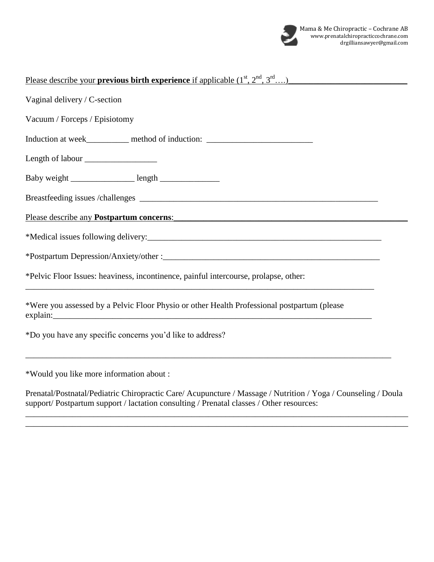

| <u>Please describe your previous birth experience if applicable <math>(1^{st}, 2^{nd}, 3^{rd}, )</math></u>                                                                                                                                                                                                                         |
|-------------------------------------------------------------------------------------------------------------------------------------------------------------------------------------------------------------------------------------------------------------------------------------------------------------------------------------|
| Vaginal delivery / C-section                                                                                                                                                                                                                                                                                                        |
| Vacuum / Forceps / Episiotomy                                                                                                                                                                                                                                                                                                       |
| Induction at week__________ method of induction: _______________________________                                                                                                                                                                                                                                                    |
|                                                                                                                                                                                                                                                                                                                                     |
|                                                                                                                                                                                                                                                                                                                                     |
|                                                                                                                                                                                                                                                                                                                                     |
| Please describe any <b>Postpartum concerns</b> :                                                                                                                                                                                                                                                                                    |
|                                                                                                                                                                                                                                                                                                                                     |
|                                                                                                                                                                                                                                                                                                                                     |
| *Pelvic Floor Issues: heaviness, incontinence, painful intercourse, prolapse, other:<br>,我们也不会有什么。""我们的人,我们也不会有什么?""我们的人,我们也不会有什么?""我们的人,我们也不会有什么?""我们的人,我们也不会有什么?""我们的人                                                                                                                                                            |
| *Were you assessed by a Pelvic Floor Physio or other Health Professional postpartum (please<br>explain: <u>the contract of the contract of the contract of the contract of the contract of the contract of the contract of the contract of the contract of the contract of the contract of the contract of the contract of the </u> |
| *Do you have any specific concerns you'd like to address?                                                                                                                                                                                                                                                                           |
| *Would you like more information about :                                                                                                                                                                                                                                                                                            |

Prenatal/Postnatal/Pediatric Chiropractic Care/ Acupuncture / Massage / Nutrition / Yoga / Counseling / Doula support/ Postpartum support / lactation consulting / Prenatal classes / Other resources:

\_\_\_\_\_\_\_\_\_\_\_\_\_\_\_\_\_\_\_\_\_\_\_\_\_\_\_\_\_\_\_\_\_\_\_\_\_\_\_\_\_\_\_\_\_\_\_\_\_\_\_\_\_\_\_\_\_\_\_\_\_\_\_\_\_\_\_\_\_\_\_\_\_\_\_\_\_\_\_\_\_\_\_\_\_\_\_\_\_\_ \_\_\_\_\_\_\_\_\_\_\_\_\_\_\_\_\_\_\_\_\_\_\_\_\_\_\_\_\_\_\_\_\_\_\_\_\_\_\_\_\_\_\_\_\_\_\_\_\_\_\_\_\_\_\_\_\_\_\_\_\_\_\_\_\_\_\_\_\_\_\_\_\_\_\_\_\_\_\_\_\_\_\_\_\_\_\_\_\_\_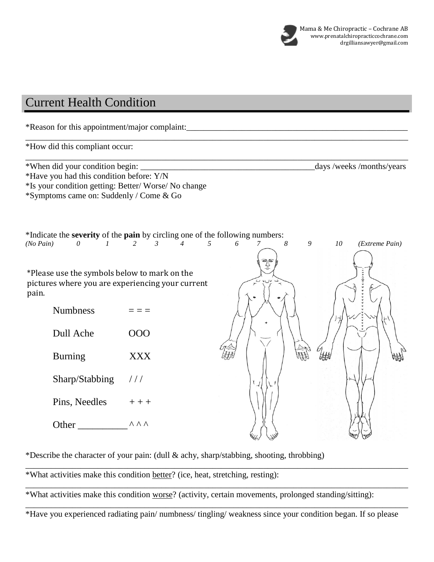

# Current Health Condition

\*Reason for this appointment/major complaint:\_\_\_\_\_\_\_\_\_\_\_\_\_\_\_\_\_\_\_\_\_\_\_\_\_\_\_\_\_\_\_\_\_\_\_\_\_\_\_\_\_\_\_\_\_\_\_\_\_\_\_\_ \_\_\_\_\_\_\_\_\_\_\_\_\_\_\_\_\_\_\_\_\_\_\_\_\_\_\_\_\_\_\_\_\_\_\_\_\_\_\_\_\_\_\_\_\_\_\_\_\_\_\_\_\_\_\_\_\_\_\_\_\_\_\_\_\_\_\_\_\_\_\_\_\_\_\_\_\_\_\_\_\_\_\_\_\_\_\_\_\_\_ \*How did this compliant occur: \_\_\_\_\_\_\_\_\_\_\_\_\_\_\_\_\_\_\_\_\_\_\_\_\_\_\_\_\_\_\_\_\_\_\_\_\_\_\_\_\_\_\_\_\_\_\_\_\_\_\_\_\_\_\_\_\_\_\_\_\_\_\_\_\_\_\_\_\_\_\_\_\_\_\_\_\_\_\_\_\_\_\_\_\_\_\_\_\_\_ \*When did your condition begin: \_\_\_\_\_\_\_\_\_\_\_\_\_\_\_\_\_\_\_\_\_\_\_\_\_\_\_\_\_\_\_\_\_\_\_\_\_\_\_\_\_days /weeks /months/years \*Have you had this condition before: Y/N \*Is your condition getting: Better/ Worse/ No change \*Symptoms came on: Suddenly / Come & Go \*Indicate the **severity** of the **pain** by circling one of the following numbers: *(No Pain) 0 1 2 3 4 5 6 7 8 9 10 (Extreme Pain)* \*Please use the symbols below to mark on the pictures where you are experiencing your current pain. Numbness  $=$   $=$   $=$   $=$ Dull Ache OOO Burning XXX bHH Sharp/Stabbing / / / Pins, Needles  $++$ Other  $\wedge \wedge \wedge$ 

\*Describe the character of your pain: (dull & achy, sharp/stabbing, shooting, throbbing)

\*What activities make this condition better? (ice, heat, stretching, resting):

\*What activities make this condition worse? (activity, certain movements, prolonged standing/sitting):

\_\_\_\_\_\_\_\_\_\_\_\_\_\_\_\_\_\_\_\_\_\_\_\_\_\_\_\_\_\_\_\_\_\_\_\_\_\_\_\_\_\_\_\_\_\_\_\_\_\_\_\_\_\_\_\_\_\_\_\_\_\_\_\_\_\_\_\_\_\_\_\_\_\_\_\_\_\_\_\_\_\_\_\_\_\_\_\_\_\_ \*Have you experienced radiating pain/ numbness/ tingling/ weakness since your condition began. If so please

\_\_\_\_\_\_\_\_\_\_\_\_\_\_\_\_\_\_\_\_\_\_\_\_\_\_\_\_\_\_\_\_\_\_\_\_\_\_\_\_\_\_\_\_\_\_\_\_\_\_\_\_\_\_\_\_\_\_\_\_\_\_\_\_\_\_\_\_\_\_\_\_\_\_\_\_\_\_\_\_\_\_\_\_\_\_\_\_\_\_

\_\_\_\_\_\_\_\_\_\_\_\_\_\_\_\_\_\_\_\_\_\_\_\_\_\_\_\_\_\_\_\_\_\_\_\_\_\_\_\_\_\_\_\_\_\_\_\_\_\_\_\_\_\_\_\_\_\_\_\_\_\_\_\_\_\_\_\_\_\_\_\_\_\_\_\_\_\_\_\_\_\_\_\_\_\_\_\_\_\_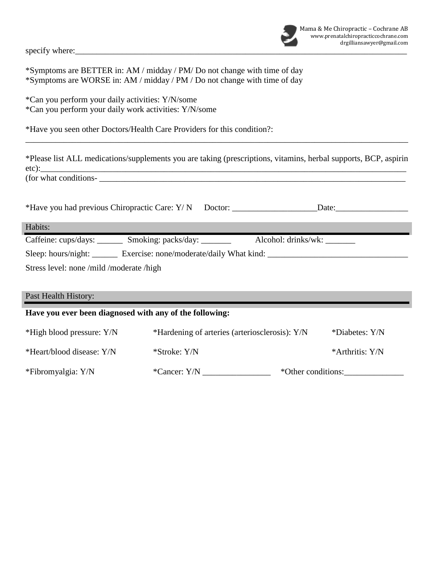specify where:

\*Symptoms are BETTER in: AM / midday / PM/ Do not change with time of day \*Symptoms are WORSE in: AM / midday / PM / Do not change with time of day

\*Can you perform your daily activities: Y/N/some \*Can you perform your daily work activities: Y/N/some

\*Have you seen other Doctors/Health Care Providers for this condition?:

\*Please list ALL medications/supplements you are taking (prescriptions, vitamins, herbal supports, BCP, aspirin etc): (for what conditions-

\_\_\_\_\_\_\_\_\_\_\_\_\_\_\_\_\_\_\_\_\_\_\_\_\_\_\_\_\_\_\_\_\_\_\_\_\_\_\_\_\_\_\_\_\_\_\_\_\_\_\_\_\_\_\_\_\_\_\_\_\_\_\_\_\_\_\_\_\_\_\_\_\_\_\_\_\_\_\_\_\_\_\_\_\_\_\_\_\_\_

\*Have you had previous Chiropractic Care:  $Y/N$  Doctor: Date: Date:

Habits:

Caffeine: cups/days: \_\_\_\_\_\_\_ Smoking: packs/day: \_\_\_\_\_\_\_ Alcohol: drinks/wk: \_\_\_\_\_ Sleep: hours/night: \_\_\_\_\_\_ Exercise: none/moderate/daily What kind: \_\_\_\_\_\_\_\_\_\_\_\_\_\_\_\_\_\_\_\_\_\_\_\_\_\_\_\_\_\_\_\_\_

Stress level: none /mild /moderate /high

# Past Health History: **Have you ever been diagnosed with any of the following:**  \*High blood pressure: Y/N \*Hardening of arteries (arteriosclerosis): Y/N \*Diabetes: Y/N \*Heart/blood disease: Y/N \*Stroke: Y/N \* \*Stroke: Y/N \* \*Arthritis: Y/N \*Fibromyalgia: Y/N \*Cancer: Y/N \*Cancer: Y/N \*Cancer: \*Other conditions: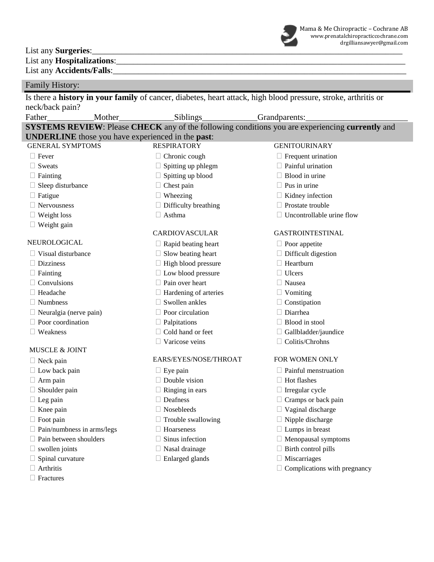List any **Surgeries**:

List any **Hospitalizations**: List any **Accidents/Falls**:

# Family History:

Is there a **history in your family** of cancer, diabetes, heart attack, high blood pressure, stroke, arthritis or neck/back pain?

| Father<br>Mother_             |  | Siblings                                                         | Grandparents:                                                                                          |  |  |
|-------------------------------|--|------------------------------------------------------------------|--------------------------------------------------------------------------------------------------------|--|--|
|                               |  |                                                                  | <b>SYSTEMS REVIEW:</b> Please CHECK any of the following conditions you are experiencing currently and |  |  |
|                               |  | <b>UNDERLINE</b> those you have experienced in the <b>past</b> : |                                                                                                        |  |  |
| <b>GENERAL SYMPTOMS</b>       |  | <b>RESPIRATORY</b>                                               | <b>GENITOURINARY</b>                                                                                   |  |  |
| $\Box$ Fever                  |  | Chronic cough                                                    | $\Box$ Frequent urination                                                                              |  |  |
| $\Box$ Sweats                 |  | Spitting up phlegm                                               | Painful urination                                                                                      |  |  |
| $\Box$ Fainting               |  | Spitting up blood                                                | Blood in urine                                                                                         |  |  |
| $\Box$ Sleep disturbance      |  | Chest pain                                                       | Pus in urine                                                                                           |  |  |
| $\Box$ Fatigue                |  | Wheezing                                                         | $\Box$ Kidney infection                                                                                |  |  |
| $\Box$ Nervousness            |  | Difficulty breathing                                             | Prostate trouble                                                                                       |  |  |
| $\Box$ Weight loss            |  | $\Box$ Asthma                                                    | Uncontrollable urine flow                                                                              |  |  |
| $\Box$ Weight gain            |  |                                                                  |                                                                                                        |  |  |
|                               |  | <b>CARDIOVASCULAR</b>                                            | <b>GASTROINTESTINAL</b>                                                                                |  |  |
| NEUROLOGICAL                  |  | Rapid beating heart                                              | $\Box$ Poor appetite                                                                                   |  |  |
| Visual disturbance            |  | Slow beating heart                                               | $\Box$ Difficult digestion                                                                             |  |  |
| $\Box$ Dizziness              |  | High blood pressure                                              | Heartburn                                                                                              |  |  |
| $\Box$ Fainting               |  | $\Box$ Low blood pressure                                        | $\Box$ Ulcers                                                                                          |  |  |
| $\Box$ Convulsions            |  | Pain over heart                                                  | $\Box$ Nausea                                                                                          |  |  |
| $\Box$ Headache               |  | Hardening of arteries                                            | $\Box$ Vomiting                                                                                        |  |  |
| $\Box$ Numbness               |  | Swollen ankles                                                   | $\Box$ Constipation                                                                                    |  |  |
| $\Box$ Neuralgia (nerve pain) |  | Poor circulation                                                 | Diarrhea                                                                                               |  |  |
| $\Box$ Poor coordination      |  | Palpitations                                                     | Blood in stool                                                                                         |  |  |
| $\Box$ Weakness               |  | Cold hand or feet                                                | Gallbladder/jaundice                                                                                   |  |  |
|                               |  | Varicose veins                                                   | Colitis/Chrohns                                                                                        |  |  |
| <b>MUSCLE &amp; JOINT</b>     |  |                                                                  |                                                                                                        |  |  |

# □ Neck pain EARS/EYES/NOSE/THROAT FOR WOMEN ONLY

- 
- 
- 
- 
- 
- 
- 
- $\Box$  Pain/numbness in arms/legs  $\Box$  Hoarseness  $\Box$  Lumps in breast
- $\Box$  Pain between shoulders  $\Box$  Sinus infection  $\Box$  Menopausal symptoms
- 
- $\Box$  Spinal curvature  $\Box$  Enlarged glands  $\Box$  Miscarriages
- 
- $\Box$  Fractures

 $\Box$  Low back pain  $\Box$  Eye pain  $\Box$  Painful menstruation

- $\Box$  Arm pain  $\Box$  Double vision  $\Box$  Hot flashes
- $\Box$  Shoulder pain  $\Box$  Ringing in ears  $\Box$  Irregular cycle
	-
	-
- $\Box$  Foot pain  $\Box$  Trouble swallowing  $\Box$  Nipple discharge
	-
	-
	-
	-
- 
- $\Box$  Leg pain  $\Box$  Deafness  $\Box$  Cramps or back pain
- $\Box$  Knee pain  $\Box$  Nosebleeds  $\Box$  Vaginal discharge
	-
	-
	-
- $\Box$  swollen joints  $\Box$  Nasal drainage  $\Box$  Birth control pills
	-
- $\Box$  Arthritis  $\Box$  Complications with pregnancy

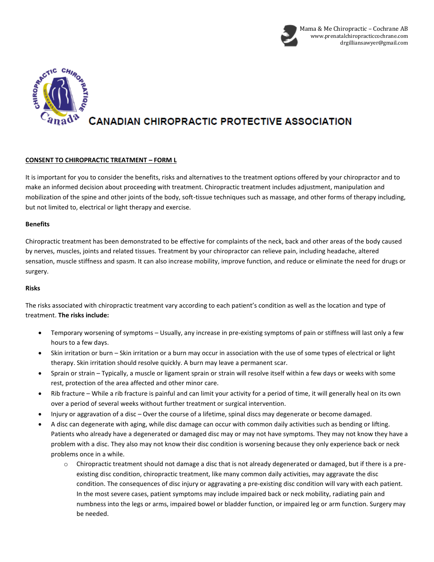



#### **CONSENT TO CHIROPRACTIC TREATMENT – FORM L**

It is important for you to consider the benefits, risks and alternatives to the treatment options offered by your chiropractor and to make an informed decision about proceeding with treatment. Chiropractic treatment includes adjustment, manipulation and mobilization of the spine and other joints of the body, soft-tissue techniques such as massage, and other forms of therapy including, but not limited to, electrical or light therapy and exercise.

#### **Benefits**

Chiropractic treatment has been demonstrated to be effective for complaints of the neck, back and other areas of the body caused by nerves, muscles, joints and related tissues. Treatment by your chiropractor can relieve pain, including headache, altered sensation, muscle stiffness and spasm. It can also increase mobility, improve function, and reduce or eliminate the need for drugs or surgery.

#### **Risks**

The risks associated with chiropractic treatment vary according to each patient's condition as well as the location and type of treatment. **The risks include:**

- Temporary worsening of symptoms Usually, any increase in pre-existing symptoms of pain or stiffness will last only a few hours to a few days.
- Skin irritation or burn Skin irritation or a burn may occur in association with the use of some types of electrical or light therapy. Skin irritation should resolve quickly. A burn may leave a permanent scar.
- Sprain or strain Typically, a muscle or ligament sprain or strain will resolve itself within a few days or weeks with some rest, protection of the area affected and other minor care.
- Rib fracture While a rib fracture is painful and can limit your activity for a period of time, it will generally heal on its own over a period of several weeks without further treatment or surgical intervention.
- Injury or aggravation of a disc Over the course of a lifetime, spinal discs may degenerate or become damaged.
- A disc can degenerate with aging, while disc damage can occur with common daily activities such as bending or lifting. Patients who already have a degenerated or damaged disc may or may not have symptoms. They may not know they have a problem with a disc. They also may not know their disc condition is worsening because they only experience back or neck problems once in a while.
	- o Chiropractic treatment should not damage a disc that is not already degenerated or damaged, but if there is a preexisting disc condition, chiropractic treatment, like many common daily activities, may aggravate the disc condition. The consequences of disc injury or aggravating a pre-existing disc condition will vary with each patient. In the most severe cases, patient symptoms may include impaired back or neck mobility, radiating pain and numbness into the legs or arms, impaired bowel or bladder function, or impaired leg or arm function. Surgery may be needed.